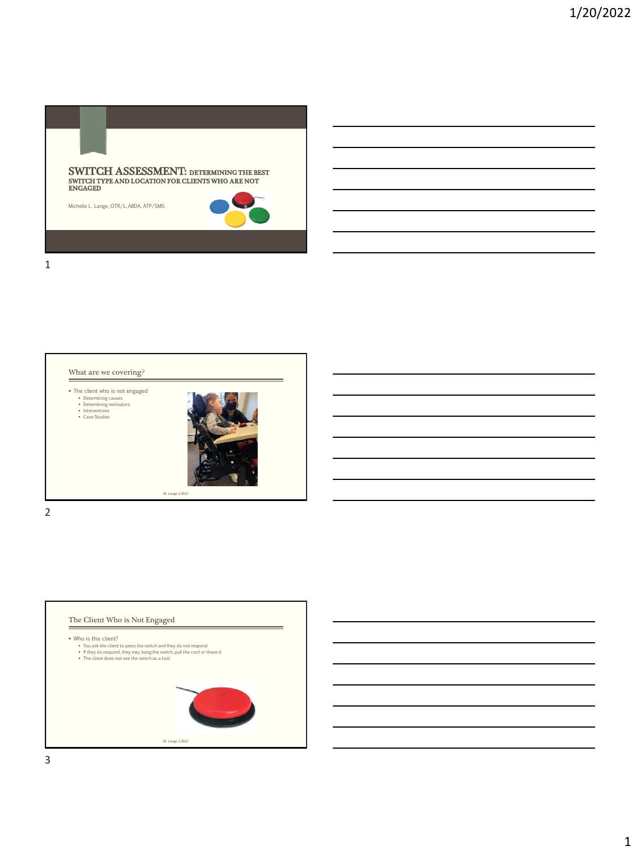



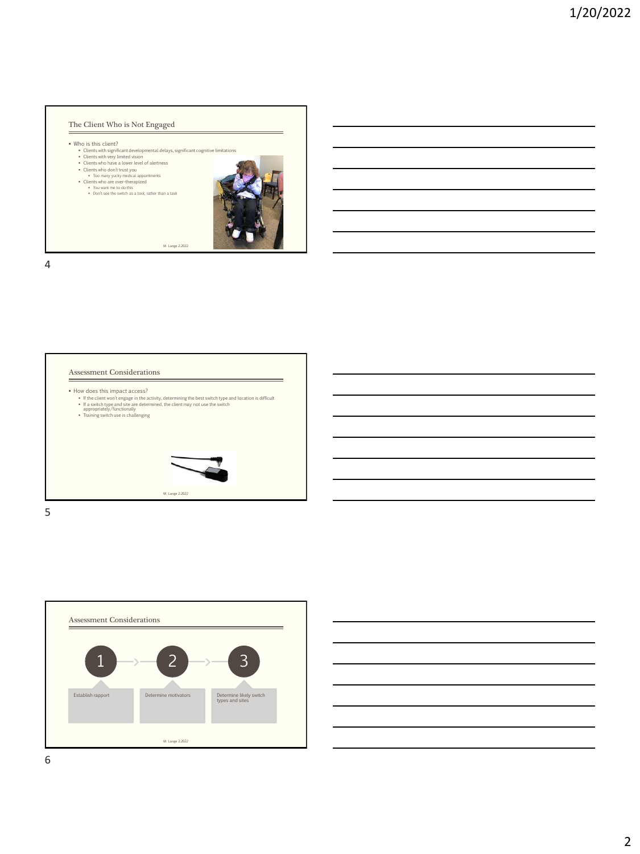

Assessment Considerations = • How does this impact access?<br>• If the client won't engage in the activity, determining the best switch type and location is difficult<br>• If a switch type and site are determined, the client may not use the switch<br>• approp M. Lange 2.2022 5





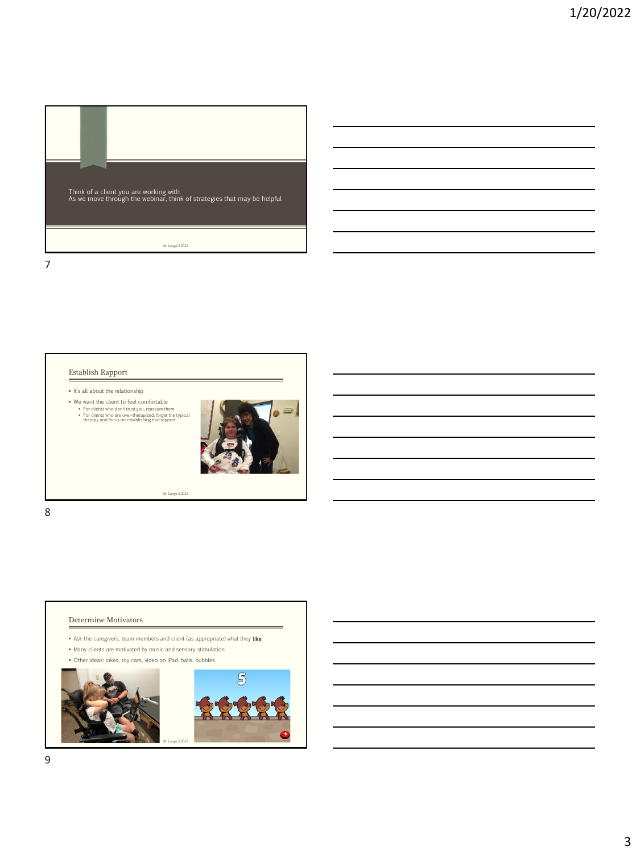

## Establish Rapport

▪ It's all about the relationship

■ We want the client to feel comfortable<br>
■ For clients who don't trust you, reassure them<br>
■ For clients who are over-therapized, forget the typical<br>
therapy and focus on establishing that rapport



- Determine Motivators
- $\bullet$  Ask the caregivers, team members and client (as appropriate) what they like
- Many clients are motivated by music and sensory stimulation
- Other ideas: jokes, toy cars, video on iPad, balls, bubbles

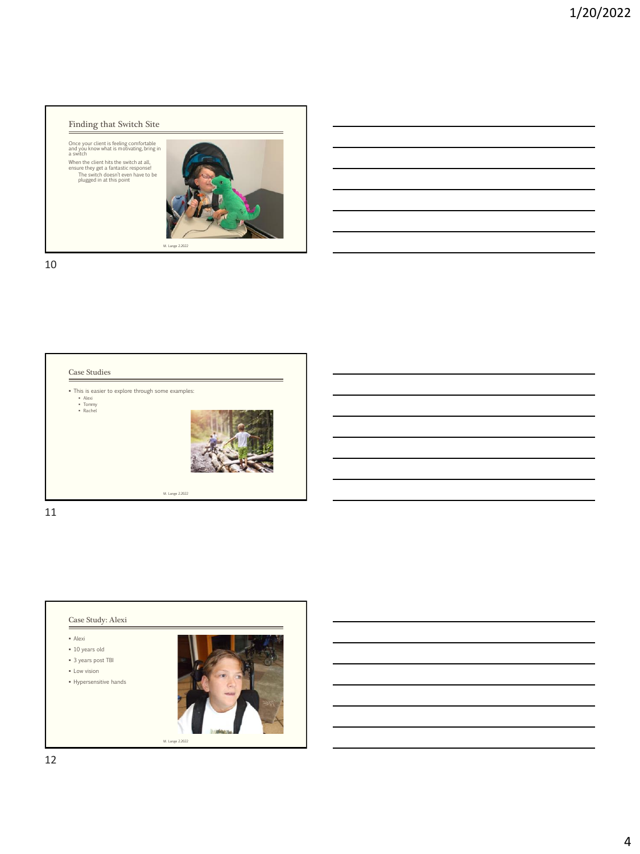## Finding that Switch Site

Once your client is feeling comfortable and you know what is motivating, bring in a switch

When the client hits the switch at all, ensure they get a fantastic response! The switch doesn't even have to be plugged in at this point



10



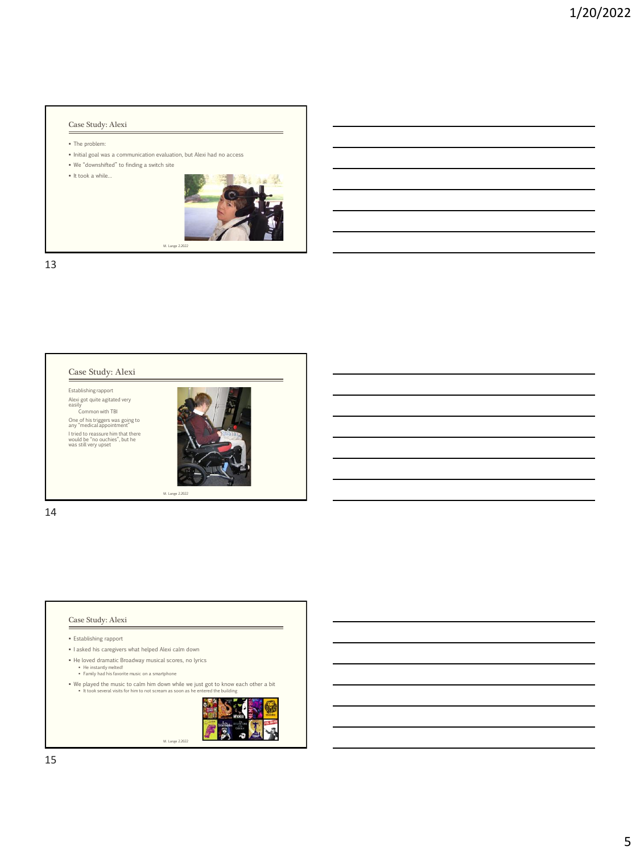## Case Study: Alexi

- The problem:
- Initial goal was a communication evaluation, but Alexi had no access

▪ We "downshifted" to finding a switch site

▪ It took a while…



13



#### Case Study: Alexi

▪ Establishing rapport

- I asked his caregivers what helped Alexi calm down
- 
- He loved dramatic Broadway musical scores, no lyrics<br>▪ He instantly melted!<br>▪ Family had his favorite music on a smartphone
- We played the music to calm him down while we just got to know each other a bit<br>▪ It took several visits for him to not scream as soon as he entered the building

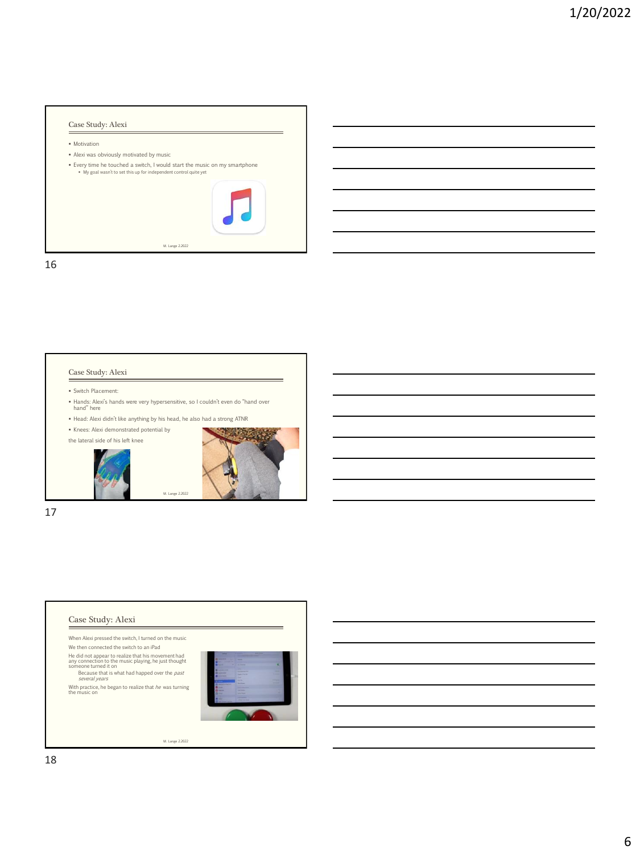# Case Study: Alexi **• Motivation** ▪ Alexi was obviously motivated by music ▪ Every time he touched a switch, I would start the music on my smartphone ▪ My goal wasn't to set this up for independent control quite yet M. Lange 2.2022

16



## Case Study: Alexi When Alexi pressed the switch, I turned on the music We then connected the switch to an iPad He did not appear to realize that his movement had<br>
any connection to the music playing, he just thought<br>
someone turned it on<br>  $\frac{Because that is what had happened over the past\nseveral years$ With practice, he began to realize that *he w*as turning<br>the music on M. Lange 2.2022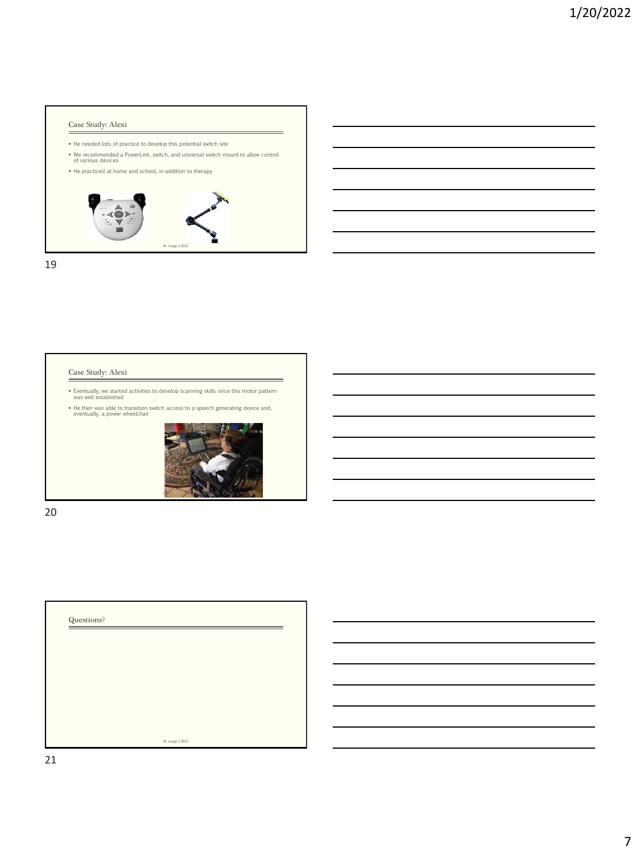## Case Study: Alexi

- He needed lots of practice to develop this potential switch site
- We recommended a PowerLink, switch, and universal switch mount to allow control of various devices
- He practiced at home and school, in addition to therapy



19

#### Case Study: Alexi

▪ Eventually, we started activities to develop scanning skills once this motor pattern was well established ▪ He then was able to transition switch access to a speech generating device and, eventually, a power wheelchair



=

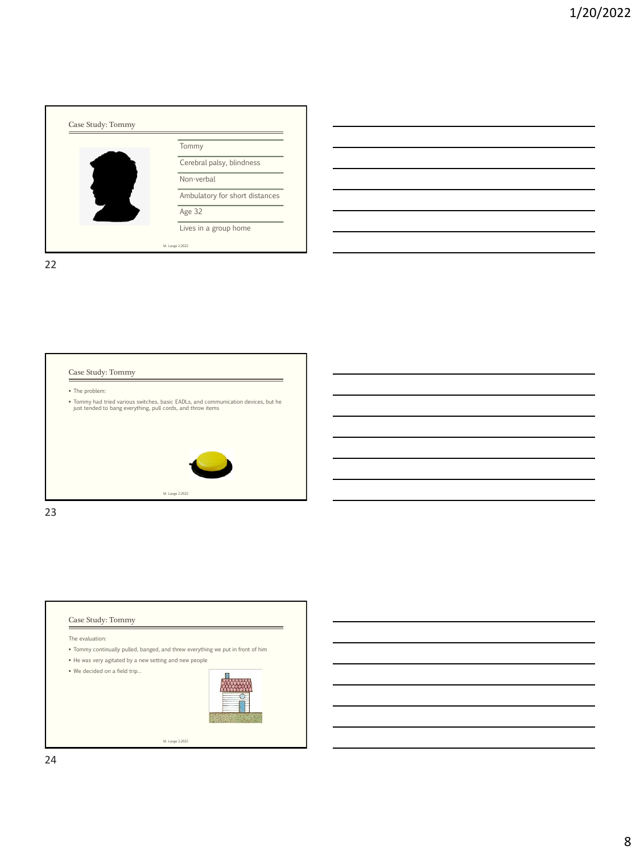





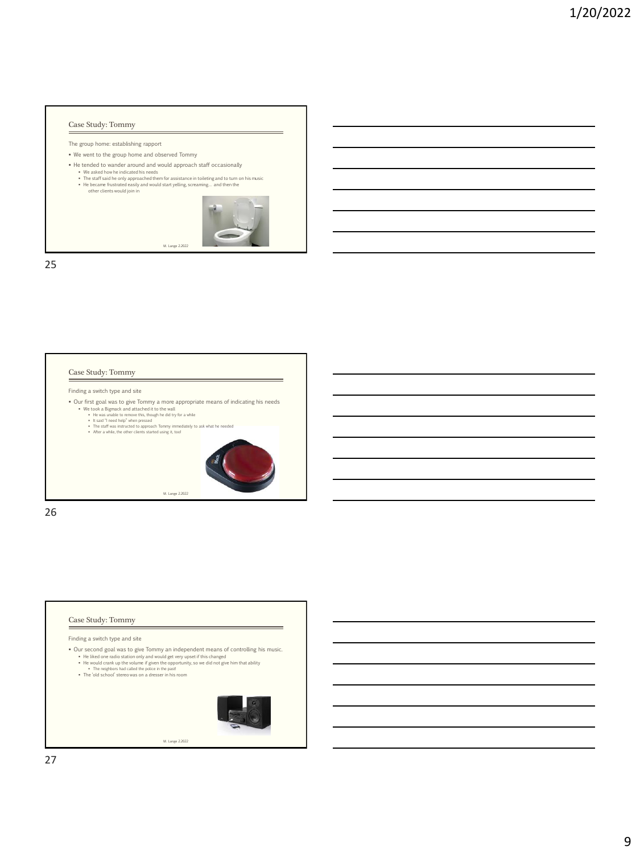### Case Study: Tommy

- The group home: establishing rapport
- We went to the group home and observed Tommy
- He tended to wander around and would approach staff occasionally
	- We asked how he indicated his needs<br>• The staff said he only approached them for assistance in toileting and to turn on his music<br>• He became frustrated easily and would start yelling, screaming... and then the<br>other cli

M. Lange 2.2022



25

#### Case Study: Tommy

Finding a switch type and site

- Our first goal was to give Tommy a more appropriate means of indicating his needs<br>• We took a Bigmack and attached it to the wall<br>• He was unable to remove this, though he dd try for a while<br>• He said Tread Paige when p
	-
	-
	-



=

 $\equiv$ 

26

#### Case Study: Tommy

Finding a switch type and site

- 
- Our second goal was to give Tommy an independent means of controlling his music.<br>• He liked one radio station only and would get wery upset if this changed<br>• He would crank up the volume if given the opportunity, so we d

- 
- 

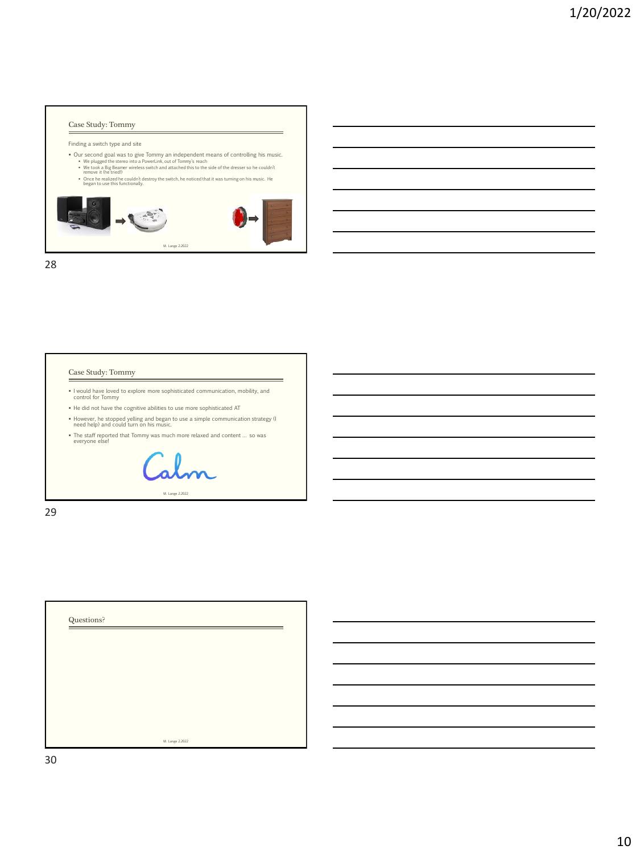### Case Study: Tommy

#### Finding a switch type and site

- Our second goal was to give Tommy an independent means of controlling his music.<br>• We plugged the stereo into a PowerLink, out of Tommy's reach<br>• We took a Big Beamer wireless switch and attached this to the side of the
- 



28

### Case Study: Tommy

- I would have loved to explore more sophisticated communication, mobility, and control for Tommy
- He did not have the cognitive abilities to use more sophisticated AT
- However, he stopped yelling and began to use a simple communication strategy (I need help) and could turn on his music.

-

▪ The staff reported that Tommy was much more relaxed and content … so was everyone else!

M. Lange 2.2022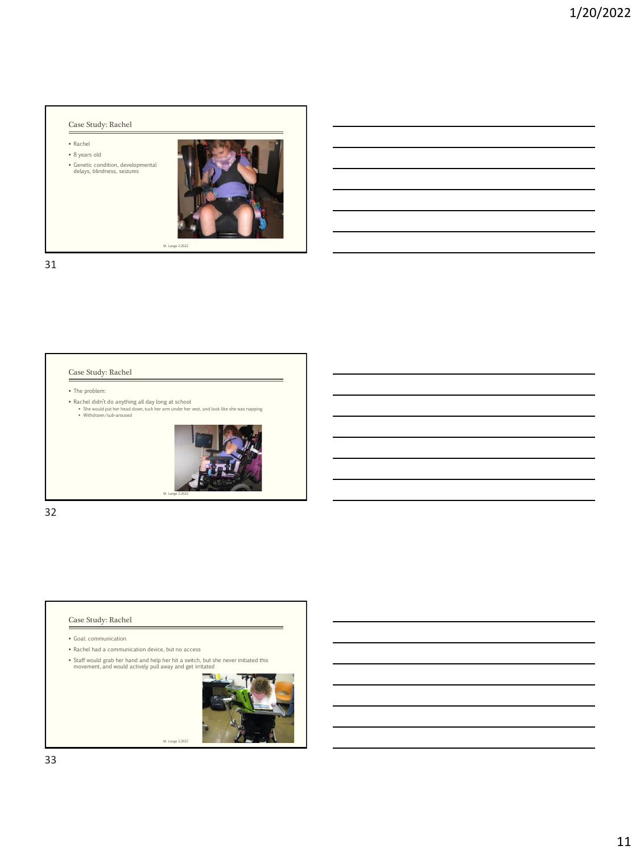## Case Study: Rachel

- Rachel
- 8 years old ▪ Genetic condition, developmental delays, blindness, seizures



31

#### Case Study: Rachel

▪ The problem:

▪ Rachel didn't do anything all day long at school<br>▪ She would put her head down, tuck her arm under her vest, and look like she was napping<br>▪ Withdrawn/sub-aroused



32

#### Case Study: Rachel Ė

▪ Goal: communication

- Rachel had a communication device, but no access
- Staff would grab her hand and help her hit a switch, but she never initiated this movement, and would actively pull away and get irritated

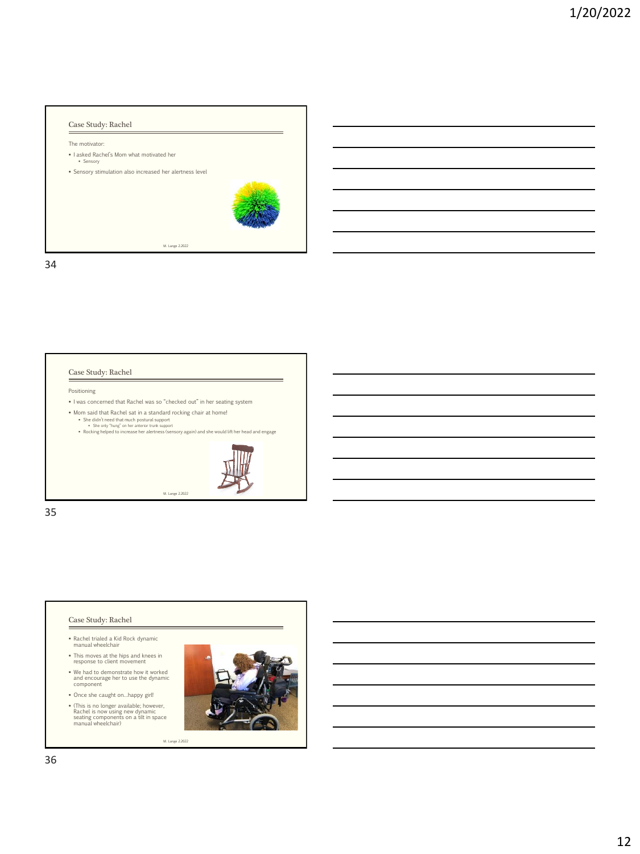

#### Case Study: Rachel

Positioning

- I was concerned that Rachel was so "checked out" in her seating system
- Mom said that Rachel sat in a standard rocking chair at home!
	- She didn't need that much postural support<br>▪ She only "hung" on her anterior trunk support<br>▪ Rocking helped to increase her alertness (sensory again) and she would lift her head and engage
	-

M. Lange 2.2022



-

35

### Case Study: Rachel

- Rachel trialed a Kid Rock dynamic manual wheelchair
- This moves at the hips and knees in response to client movement
- We had to demonstrate how it worked and encourage her to use the dynamic component
- Once she caught on…happy girl!

▪ (This is no longer available; however, Rachel is now using new dynamic seating components on a tilt in space manual wheelchair)

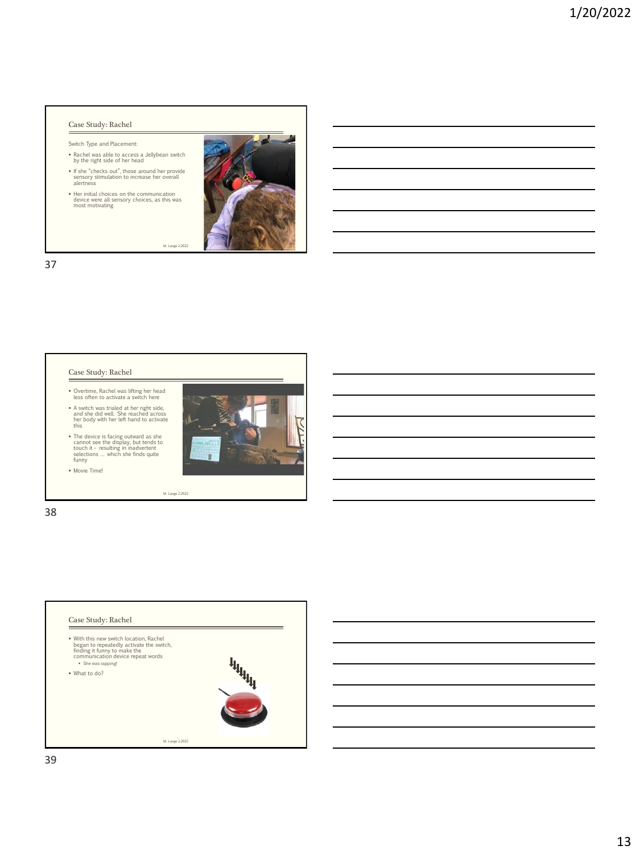### Case Study: Rachel

Switch Type and Placement:

- Rachel was able to access a Jellybean switch by the right side of her head
- If she "checks out", those around her provide sensory stimulation to increase her overall alertness
- Her initial choices on the communication device were all sensory choices, as this was most motivating



M. Lange 2.2022

37

#### Case Study: Rachel

- Overtime, Rachel was lifting her head less often to activate a switch here
- A switch was trialed at her right side, and she did well. She reached across her body with her left hand to activate this
- The device is facing outward as she cannot see the display, but tends to touch it resulting in inadvertent selections … which she finds quite funny

**• Movie Time!** 



38

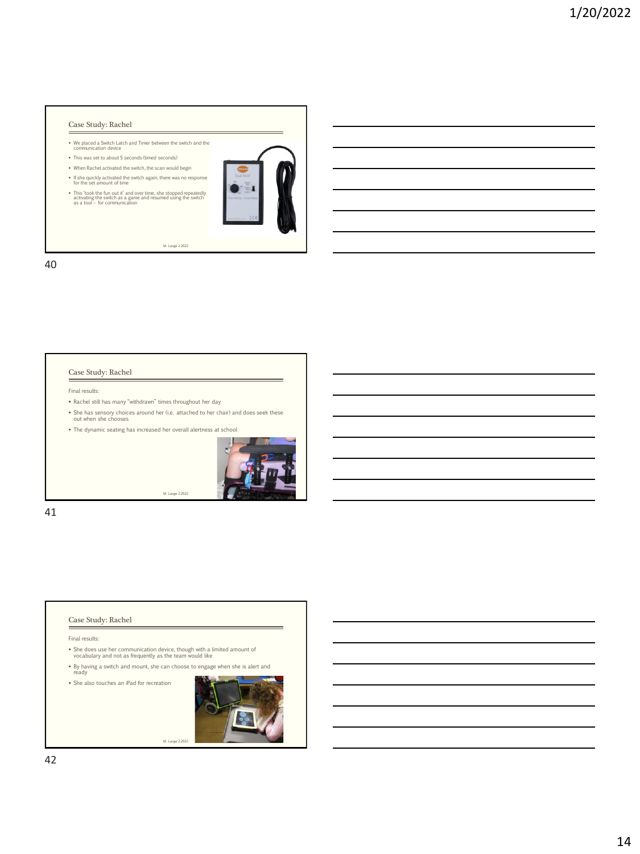## Case Study: Rachel

- We placed a Switch Latch and Timer between the switch and the communication device
- This was set to about 5 seconds (timed seconds)
- When Rachel activated the switch, the scan would begin
- If she quickly activated the switch again, there was no response for the set amount of time
- This 'took the fun out it' and over time, she stopped repeatedly activating the switch as a game and resumed using the switch as a tool for communication



M. Lange 2.2022

40

#### Case Study: Rachel

Final results:

- Rachel still has many "withdrawn" times throughout her day
- She has sensory choices around her (i.e. attached to her chair) and does seek these out when she chooses

M. Lange 2.2022

▪ The dynamic seating has increased her overall alertness at school



-

41

#### Case Study: Rachel

Final results:

- She does use her communication device, though with a limited amount of vocabulary and not as frequently as the team would like
- By having a switch and mount, she can choose to engage when she is alert and ready

M. Lange 2.2022

▪ She also touches an iPad for recreation

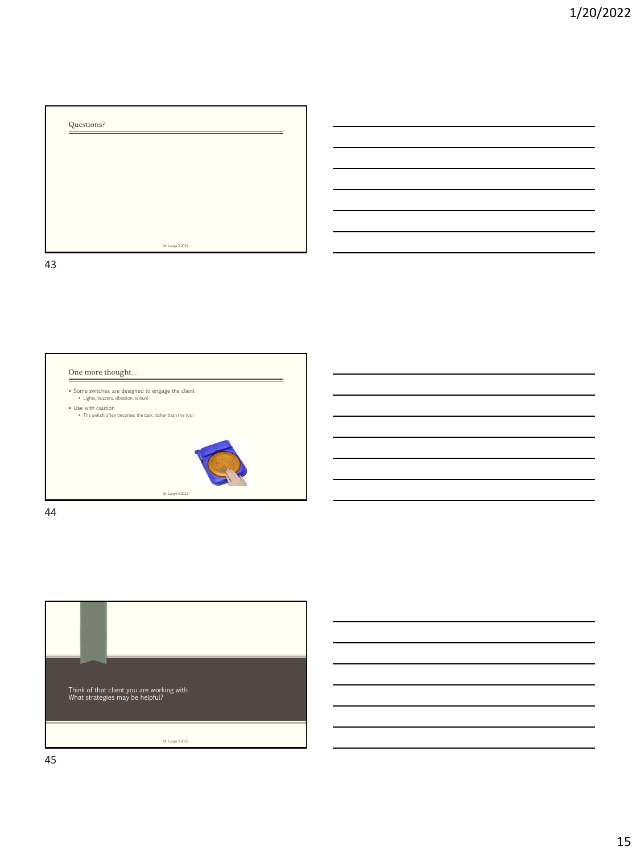



44

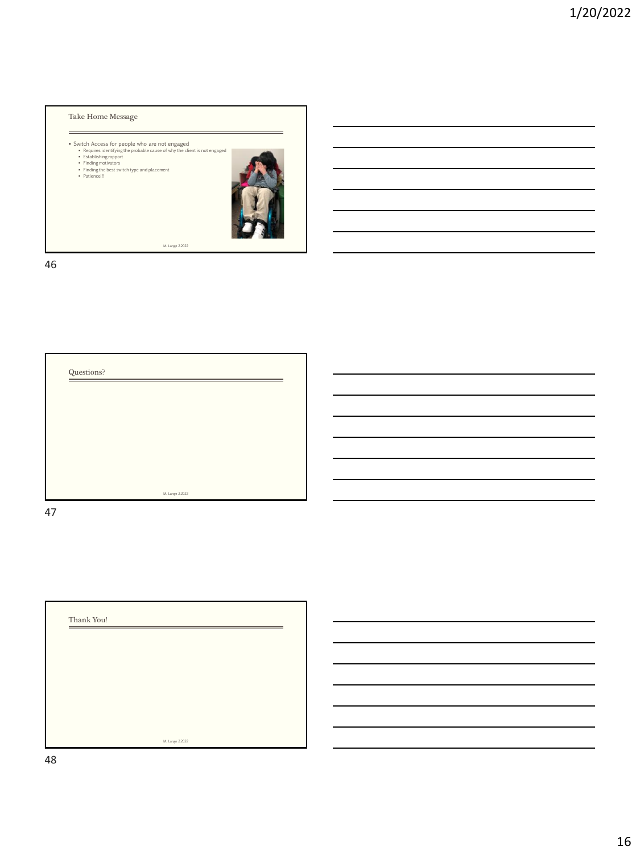



47